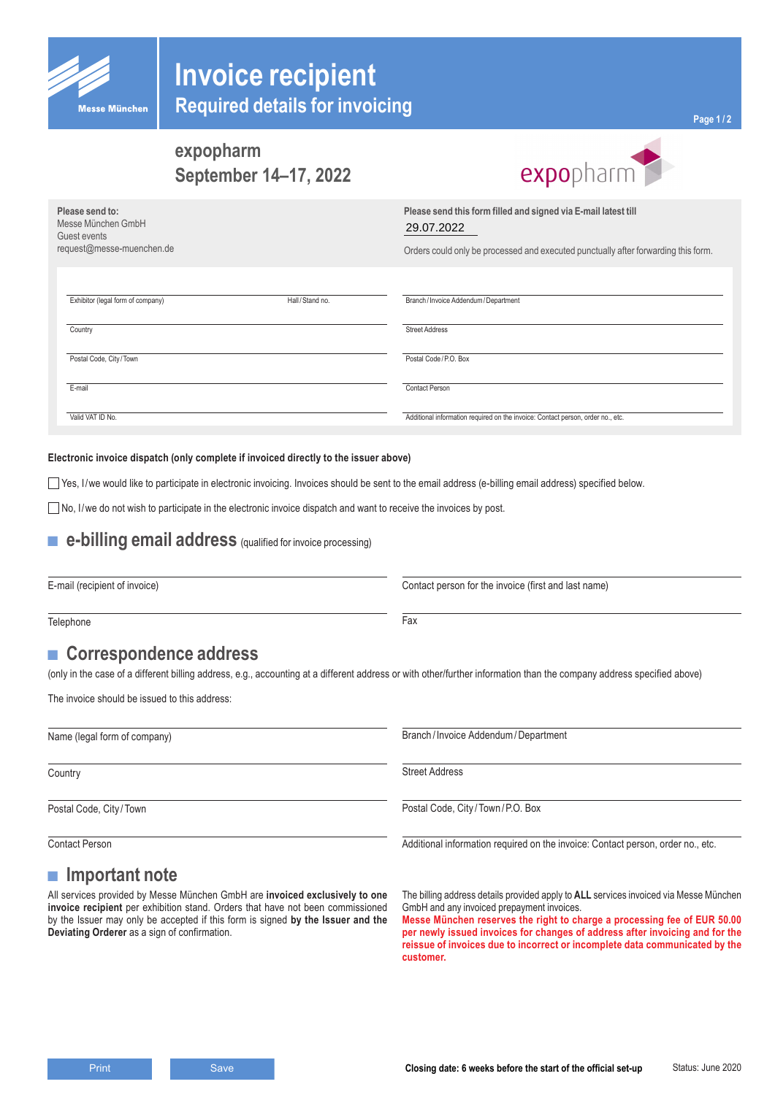

## **Invoice recipient Required details for invoicing**

# **September 14–17, 2022**

|                                                                                    | expopharm<br>September 14-17, 2022 | expopharm                                                                                                                                                          |
|------------------------------------------------------------------------------------|------------------------------------|--------------------------------------------------------------------------------------------------------------------------------------------------------------------|
| Please send to:<br>Messe München GmbH<br>Guest events<br>request@messe-muenchen.de |                                    | Please send this form filled and signed via E-mail latest till<br>29.07.2022<br>Orders could only be processed and executed punctually after forwarding this form. |
| Exhibitor (legal form of company)                                                  | Hall/Stand no.                     | Branch / Invoice Addendum / Department                                                                                                                             |
| Country                                                                            |                                    | <b>Street Address</b>                                                                                                                                              |
| Postal Code, City/Town                                                             |                                    | Postal Code/P.O. Box                                                                                                                                               |
| E-mail                                                                             |                                    | <b>Contact Person</b>                                                                                                                                              |
| Valid VAT ID No.                                                                   |                                    | Additional information required on the invoice: Contact person, order no., etc.                                                                                    |

#### **Electronic invoice dispatch (only complete if invoiced directly to the issuer above)**

Yes, I/we would like to participate in electronic invoicing. Invoices should be sent to the email address (e-billing email address) specified below.

 $\Box$  No, I/we do not wish to participate in the electronic invoice dispatch and want to receive the invoices by post.

#### ■ **e-billing email address** (qualified for invoice processing)

E-mail (recipient of invoice)

Contact person for the invoice (first and last name)

Telephone

#### ■ **Correspondence address**

(only in the case of a different billing address, e.g., accounting at a different address or with other/further information than the company address specified above)

The invoice should be issued to this address:

Name (legal form of company) **Country** Postal Code, City /Town Contact Person Branch / Invoice Addendum/Department Street Address Postal Code, City /Town /P.O. Box Additional information required on the invoice: Contact person, order no., etc.

#### **■ Important note**

All services provided by Messe München GmbH are **invoiced exclusively to one invoice recipient** per exhibition stand. Orders that have not been commissioned by the Issuer may only be accepted if this form is signed **by the Issuer and the Deviating Orderer** as a sign of confirmation.

The billing address details provided apply to **ALL** services invoiced via Messe München GmbH and any invoiced prepayment invoices.

**Messe München reserves the right to charge a processing fee of EUR 50.00 per newly issued invoices for changes of address after invoicing and for the reissue of invoices due to incorrect or incomplete data communicated by the customer.**

Fax